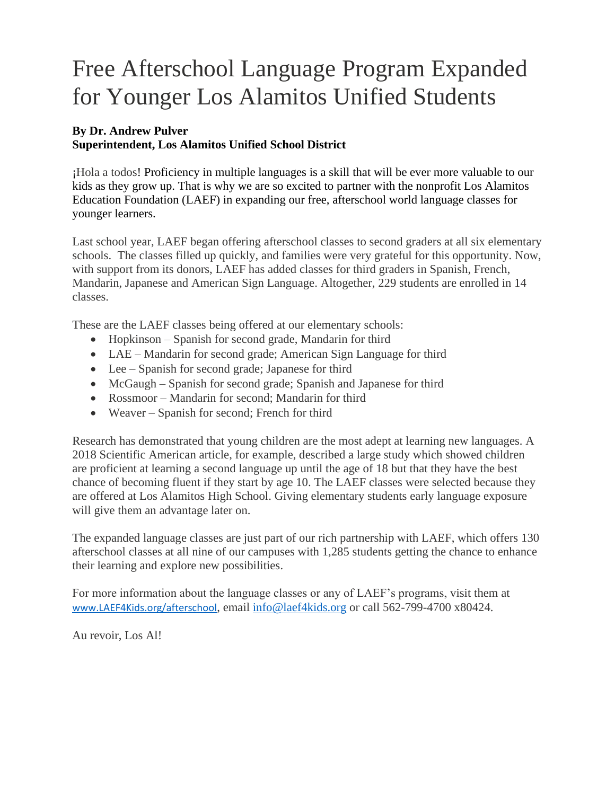## Free Afterschool Language Program Expanded for Younger Los Alamitos Unified Students

## **By Dr. Andrew Pulver Superintendent, Los Alamitos Unified School District**

¡Hola a todos! Proficiency in multiple languages is a skill that will be ever more valuable to our kids as they grow up. That is why we are so excited to partner with the nonprofit Los Alamitos Education Foundation (LAEF) in expanding our free, afterschool world language classes for younger learners.

Last school year, LAEF began offering afterschool classes to second graders at all six elementary schools. The classes filled up quickly, and families were very grateful for this opportunity. Now, with support from its donors, LAEF has added classes for third graders in Spanish, French, Mandarin, Japanese and American Sign Language. Altogether, 229 students are enrolled in 14 classes.

These are the LAEF classes being offered at our elementary schools:

- Hopkinson Spanish for second grade, Mandarin for third
- LAE Mandarin for second grade; American Sign Language for third
- Lee Spanish for second grade; Japanese for third
- McGaugh Spanish for second grade; Spanish and Japanese for third
- Rossmoor Mandarin for second; Mandarin for third
- Weaver Spanish for second; French for third

Research has demonstrated that young children are the most adept at learning new languages. A 2018 Scientific American article, for example, described a large study which showed children are proficient at learning a second language up until the age of 18 but that they have the best chance of becoming fluent if they start by age 10. The LAEF classes were selected because they are offered at Los Alamitos High School. Giving elementary students early language exposure will give them an advantage later on.

The expanded language classes are just part of our rich partnership with LAEF, which offers 130 afterschool classes at all nine of our campuses with 1,285 students getting the chance to enhance their learning and explore new possibilities.

For more information about the language classes or any of LAEF's programs, visit them at [www.LAEF4Kids.org/afterschool](http://www.laef4kids.org/afterschool), email [info@laef4kids.org](mailto:info@laef4kids.org) or call 562-799-4700 x80424.

Au revoir, Los Al!